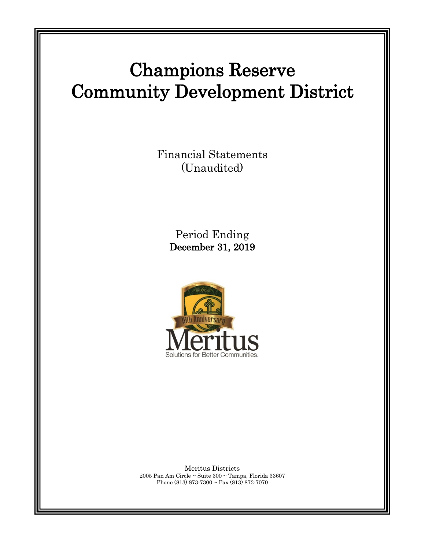# Champions Reserve Community Development District

Financial Statements (Unaudited)

> Period Ending December 31, 2019



Meritus Districts 2005 Pan Am Circle ~ Suite 300 ~ Tampa, Florida 33607 Phone (813) 873-7300 ~ Fax (813) 873-7070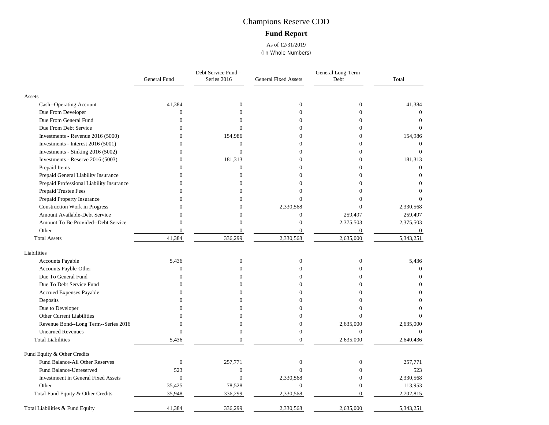## Champions Reserve CDD **Fund Report**

As of 12/31/2019 (In Whole Numbers)

|                                            | General Fund     | Debt Service Fund -<br>Series 2016 | <b>General Fixed Assets</b> | General Long-Term<br>Debt | Total            |
|--------------------------------------------|------------------|------------------------------------|-----------------------------|---------------------------|------------------|
| Assets                                     |                  |                                    |                             |                           |                  |
| Cash--Operating Account                    | 41,384           | $\mathbf{0}$                       | $\mathbf{0}$                | $\theta$                  | 41,384           |
| Due From Developer                         | $\mathbf{0}$     | $\Omega$                           | $\Omega$                    | $\mathbf{0}$              | $\mathbf{0}$     |
| Due From General Fund                      | $\theta$         | $\Omega$                           | $\Omega$                    | $\Omega$                  | $\theta$         |
| Due From Debt Service                      | $\mathbf{0}$     | $\Omega$                           | $\Omega$                    | $\overline{0}$            | $\Omega$         |
| Investments - Revenue 2016 (5000)          | $\Omega$         | 154,986                            | $\Omega$                    | 0                         | 154,986          |
| Investments - Interest 2016 (5001)         | $\Omega$         | $\overline{0}$                     | $\Omega$                    | $\Omega$                  | $\Omega$         |
| Investments - Sinking 2016 (5002)          | $\mathbf{0}$     | $\overline{0}$                     | $\Omega$                    | $\Omega$                  | $\Omega$         |
| Investments - Reserve 2016 (5003)          | $\mathbf{0}$     | 181,313                            | $\theta$                    | $\mathbf{0}$              | 181,313          |
| Prepaid Items                              | $\Omega$         | $\overline{0}$                     | $\Omega$                    | $\Omega$                  | $\Omega$         |
| Prepaid General Liability Insurance        | $\Omega$         | $\Omega$                           | ∩                           | 0                         | $\Omega$         |
| Prepaid Professional Liability Insurance   | $\Omega$         | 0                                  | $\Omega$                    | $\Omega$                  |                  |
| Prepaid Trustee Fees                       |                  |                                    | $\theta$                    |                           |                  |
| Prepaid Property Insurance                 | $\Omega$         |                                    | $\Omega$                    | 0                         |                  |
| Construction Work in Progress              | $\Omega$         | $\Omega$                           | 2,330,568                   | 0                         | 2,330,568        |
| Amount Available-Debt Service              | $\Omega$         | 0                                  | $\mathbf{0}$                | 259,497                   | 259,497          |
| Amount To Be Provided--Debt Service        | $\overline{0}$   | $\Omega$                           | $\mathbf{0}$                | 2,375,503                 | 2,375,503        |
| Other                                      | $\mathbf{0}$     | $\overline{0}$                     | $\mathbf{0}$                | $\mathbf{0}$              | $\boldsymbol{0}$ |
| <b>Total Assets</b>                        | 41,384           | 336,299                            | 2,330,568                   | 2,635,000                 | 5,343,251        |
| Liabilities                                |                  |                                    |                             |                           |                  |
| Accounts Payable                           | 5,436            | $\boldsymbol{0}$                   | $\theta$                    | $\mathbf{0}$              | 5,436            |
| Accounts Payble-Other                      | $\mathbf{0}$     | $\Omega$                           | $\theta$                    | $\Omega$                  | $\Omega$         |
| Due To General Fund                        | $\Omega$         | 0                                  | 0                           | $\Omega$                  | $\Omega$         |
| Due To Debt Service Fund                   | $\mathbf{0}$     | 0                                  | $\Omega$                    | $\Omega$                  | O                |
| Accrued Expenses Payable                   | $\Omega$         |                                    | 0                           | 0                         |                  |
| Deposits                                   | $\Omega$         |                                    | 0                           | 0                         | 0                |
| Due to Developer                           |                  |                                    | 0                           |                           |                  |
| Other Current Liabilities                  | $\Omega$         | $\Omega$                           | $\mathbf{0}$                | $\Omega$                  |                  |
| Revenue Bond--Long Term--Series 2016       | $\theta$         | $\Omega$                           | $\Omega$                    | 2,635,000                 | 2,635,000        |
| <b>Unearned Revenues</b>                   | $\overline{0}$   | $\overline{0}$                     | $\theta$                    | $\overline{0}$            | $\mathbf{0}$     |
| <b>Total Liabilities</b>                   | 5,436            | $\theta$                           | $\Omega$                    | 2,635,000                 | 2,640,436        |
| Fund Equity & Other Credits                |                  |                                    |                             |                           |                  |
| Fund Balance-All Other Reserves            | $\boldsymbol{0}$ | 257,771                            | $\theta$                    | $\boldsymbol{0}$          | 257,771          |
| Fund Balance-Unreserved                    | 523              | $\boldsymbol{0}$                   | $\Omega$                    | $\theta$                  | 523              |
| <b>Investmeent in General Fixed Assets</b> | $\boldsymbol{0}$ | $\mathbf{0}$                       | 2,330,568                   | $\Omega$                  | 2,330,568        |
| Other                                      | 35,425           | 78,528                             | $\theta$                    | $\overline{0}$            | 113,953          |
| Total Fund Equity & Other Credits          | 35,948           | 336,299                            | 2,330,568                   | $\overline{0}$            | 2,702,815        |
| Total Liabilities & Fund Equity            | 41,384           | 336,299                            | 2,330,568                   | 2,635,000                 | 5,343,251        |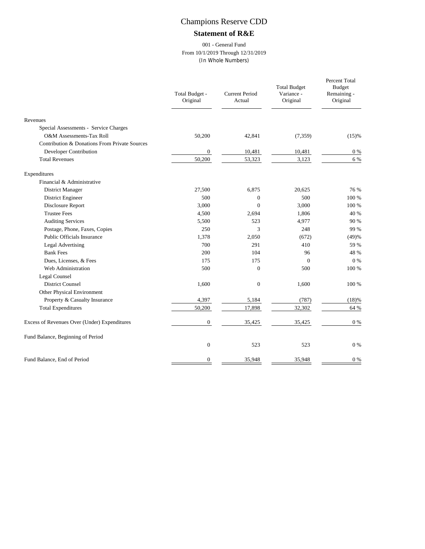## Champions Reserve CDD

### **Statement of R&E**

#### 001 - General Fund From 10/1/2019 Through 12/31/2019 (In Whole Numbers)

|                                               | Total Budget -<br>Original | <b>Current Period</b><br>Actual | <b>Total Budget</b><br>Variance -<br>Original | Percent Total<br><b>Budget</b><br>Remaining -<br>Original |
|-----------------------------------------------|----------------------------|---------------------------------|-----------------------------------------------|-----------------------------------------------------------|
| Revenues                                      |                            |                                 |                                               |                                                           |
| Special Assessments - Service Charges         |                            |                                 |                                               |                                                           |
| <b>O&amp;M</b> Assessments-Tax Roll           | 50,200                     | 42,841                          | (7,359)                                       | (15)%                                                     |
| Contribution & Donations From Private Sources |                            |                                 |                                               |                                                           |
| Developer Contribution                        | $\boldsymbol{0}$           | 10,481                          | 10,481                                        | $0\ \%$                                                   |
| <b>Total Revenues</b>                         | 50,200                     | 53,323                          | 3,123                                         | 6 %                                                       |
| Expenditures                                  |                            |                                 |                                               |                                                           |
| Financial & Administrative                    |                            |                                 |                                               |                                                           |
| District Manager                              | 27,500                     | 6,875                           | 20,625                                        | 76 %                                                      |
| District Engineer                             | 500                        | $\boldsymbol{0}$                | 500                                           | 100 %                                                     |
| Disclosure Report                             | 3,000                      | $\theta$                        | 3,000                                         | 100 %                                                     |
| <b>Trustee Fees</b>                           | 4,500                      | 2,694                           | 1,806                                         | 40 %                                                      |
| <b>Auditing Services</b>                      | 5,500                      | 523                             | 4,977                                         | 90 %                                                      |
| Postage, Phone, Faxes, Copies                 | 250                        | 3                               | 248                                           | 99 %                                                      |
| Public Officials Insurance                    | 1,378                      | 2,050                           | (672)                                         | (49)%                                                     |
| <b>Legal Advertising</b>                      | 700                        | 291                             | 410                                           | 59 %                                                      |
| <b>Bank Fees</b>                              | 200                        | 104                             | 96                                            | 48 %                                                      |
| Dues, Licenses, & Fees                        | 175                        | 175                             | $\mathbf{0}$                                  | $0\%$                                                     |
| Web Administration                            | 500                        | $\overline{0}$                  | 500                                           | 100 %                                                     |
| Legal Counsel                                 |                            |                                 |                                               |                                                           |
| <b>District Counsel</b>                       | 1,600                      | $\mathbf{0}$                    | 1,600                                         | 100 %                                                     |
| Other Physical Environment                    |                            |                                 |                                               |                                                           |
| Property & Casualty Insurance                 | 4,397                      | 5,184                           | (787)                                         | (18)%                                                     |
| <b>Total Expenditures</b>                     | 50,200                     | 17,898                          | 32,302                                        | 64 %                                                      |
| Excess of Revenues Over (Under) Expenditures  | $\boldsymbol{0}$           | 35,425                          | 35,425                                        | $0\ \%$                                                   |
| Fund Balance, Beginning of Period             |                            |                                 |                                               |                                                           |
|                                               | $\boldsymbol{0}$           | 523                             | 523                                           | $0\%$                                                     |
| Fund Balance, End of Period                   | $\mathbf{0}$               | 35,948                          | 35,948                                        | $0\%$                                                     |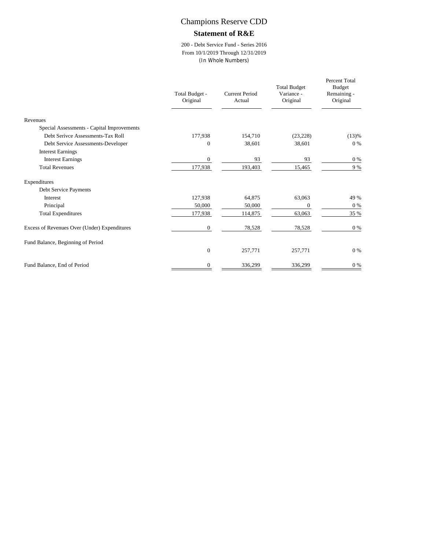## Champions Reserve CDD

#### **Statement of R&E**

200 - Debt Service Fund - Series 2016 From 10/1/2019 Through 12/31/2019 (In Whole Numbers)

|                                              | Total Budget -<br>Original | Current Period<br>Actual | <b>Total Budget</b><br>Variance -<br>Original | Percent Total<br><b>Budget</b><br>Remaining -<br>Original |
|----------------------------------------------|----------------------------|--------------------------|-----------------------------------------------|-----------------------------------------------------------|
| Revenues                                     |                            |                          |                                               |                                                           |
| Special Assessments - Capital Improvements   |                            |                          |                                               |                                                           |
| Debt Serivce Assessments-Tax Roll            | 177,938                    | 154,710                  | (23, 228)                                     | (13)%                                                     |
| Debt Service Assessments-Developer           | $\Omega$                   | 38,601                   | 38,601                                        | $0\%$                                                     |
| <b>Interest Earnings</b>                     |                            |                          |                                               |                                                           |
| <b>Interest Earnings</b>                     | $\mathbf{0}$               | 93                       | 93                                            | $0\%$                                                     |
| <b>Total Revenues</b>                        | 177,938                    | 193,403                  | 15,465                                        | 9 %                                                       |
| Expenditures                                 |                            |                          |                                               |                                                           |
| Debt Service Payments                        |                            |                          |                                               |                                                           |
| <b>Interest</b>                              | 127,938                    | 64,875                   | 63,063                                        | 49 %                                                      |
| Principal                                    | 50,000                     | 50,000                   | $\mathbf{0}$                                  | $0\%$                                                     |
| <b>Total Expenditures</b>                    | 177,938                    | 114,875                  | 63,063                                        | 35 %                                                      |
| Excess of Revenues Over (Under) Expenditures | $\mathbf{0}$               | 78,528                   | 78,528                                        | $0\%$                                                     |
| Fund Balance, Beginning of Period            |                            |                          |                                               |                                                           |
|                                              | $\mathbf{0}$               | 257,771                  | 257,771                                       | $0\%$                                                     |
| Fund Balance, End of Period                  | $\Omega$                   | 336,299                  | 336,299                                       | $0\ \%$                                                   |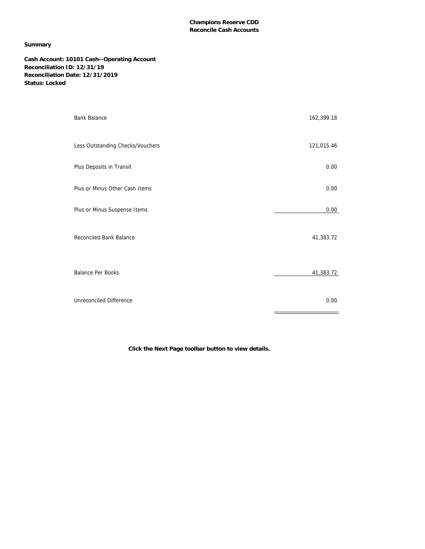#### **Champions Reserve CDD Reconcile Cash Accounts**

#### **Summary**

**Cash Account: 10101 Cash--Operating Account Reconciliation ID: 12/31/19 Reconciliation Date: 12/31/2019 Status: Locked**

| <b>Bank Balance</b>              | 162,399.18 |
|----------------------------------|------------|
| Less Outstanding Checks/Vouchers | 121,015.46 |
| Plus Deposits in Transit         | 0.00       |
| Plus or Minus Other Cash Items   | 0.00       |
| Plus or Minus Suspense Items     | 0.00       |
| Reconciled Bank Balance          | 41,383.72  |
| <b>Balance Per Books</b>         | 41,383.72  |
| Unreconciled Difference          | 0.00       |

**Click the Next Page toolbar button to view details.**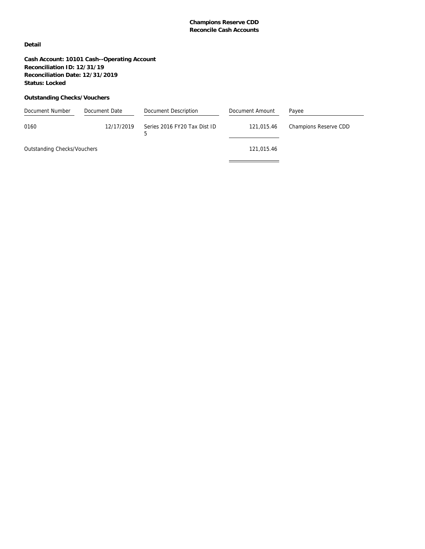#### **Champions Reserve CDD Reconcile Cash Accounts**

**Detail**

**Cash Account: 10101 Cash--Operating Account Reconciliation ID: 12/31/19 Reconciliation Date: 12/31/2019 Status: Locked**

#### **Outstanding Checks/Vouchers**

| Document Number             | Document Date | Document Description              | Document Amount | Payee                 |
|-----------------------------|---------------|-----------------------------------|-----------------|-----------------------|
| 0160                        | 12/17/2019    | Series 2016 FY20 Tax Dist ID<br>5 | 121,015.46      | Champions Reserve CDD |
| Outstanding Checks/Vouchers |               |                                   | 121,015.46      |                       |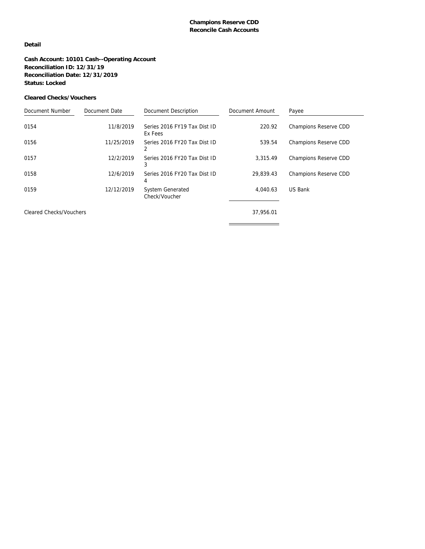#### **Detail**

**Cash Account: 10101 Cash--Operating Account Reconciliation ID: 12/31/19 Reconciliation Date: 12/31/2019 Status: Locked**

#### **Cleared Checks/Vouchers**

| Document Number                | Document Date | Document Description                     | Document Amount | Payee                 |
|--------------------------------|---------------|------------------------------------------|-----------------|-----------------------|
| 0154                           | 11/8/2019     | Series 2016 FY19 Tax Dist ID<br>Ex Fees  | 220.92          | Champions Reserve CDD |
| 0156                           | 11/25/2019    | Series 2016 FY20 Tax Dist ID             | 539.54          | Champions Reserve CDD |
| 0157                           | 12/2/2019     | Series 2016 FY20 Tax Dist ID<br>3        | 3.315.49        | Champions Reserve CDD |
| 0158                           | 12/6/2019     | Series 2016 FY20 Tax Dist ID<br>4        | 29.839.43       | Champions Reserve CDD |
| 0159                           | 12/12/2019    | <b>System Generated</b><br>Check/Voucher | 4.040.63        | US Bank               |
| <b>Cleared Checks/Vouchers</b> |               |                                          | 37,956.01       |                       |
|                                |               |                                          |                 |                       |